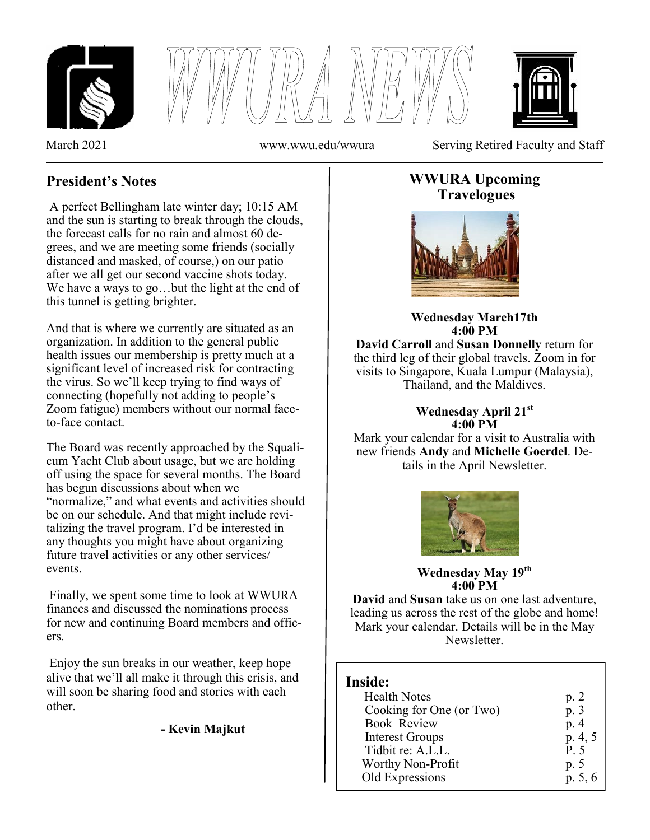





March 2021 www.wwu.edu/wwura Serving Retired Faculty and Staff

# **President's Notes**

A perfect Bellingham late winter day; 10:15 AM and the sun is starting to break through the clouds, the forecast calls for no rain and almost 60 degrees, and we are meeting some friends (socially distanced and masked, of course,) on our patio after we all get our second vaccine shots today. We have a ways to go…but the light at the end of this tunnel is getting brighter.

And that is where we currently are situated as an organization. In addition to the general public health issues our membership is pretty much at a significant level of increased risk for contracting the virus. So we'll keep trying to find ways of connecting (hopefully not adding to people's Zoom fatigue) members without our normal faceto-face contact.

The Board was recently approached by the Squalicum Yacht Club about usage, but we are holding off using the space for several months. The Board has begun discussions about when we "normalize," and what events and activities should be on our schedule. And that might include revitalizing the travel program. I'd be interested in any thoughts you might have about organizing future travel activities or any other services/ events.

Finally, we spent some time to look at WWURA finances and discussed the nominations process for new and continuing Board members and officers.

Enjoy the sun breaks in our weather, keep hope alive that we'll all make it through this crisis, and will soon be sharing food and stories with each other.

# **- Kevin Majkut**

# **WWURA Upcoming Travelogues**



#### **Wednesday March17th 4:00 PM**

**David Carroll** and **Susan Donnelly** return for the third leg of their global travels. Zoom in for visits to Singapore, Kuala Lumpur (Malaysia), Thailand, and the Maldives.

### **Wednesday April 21st 4:00 PM**

Mark your calendar for a visit to Australia with new friends **Andy** and **Michelle Goerdel**. Details in the April Newsletter.



**Wednesday May 19th 4:00 PM**

**David** and **Susan** take us on one last adventure, leading us across the rest of the globe and home! Mark your calendar. Details will be in the May Newsletter.

# **Inside:**

| <b>Health Notes</b>      | p. 2    |
|--------------------------|---------|
| Cooking for One (or Two) | p. 3    |
| <b>Book Review</b>       | p. 4    |
| <b>Interest Groups</b>   | p. 4, 5 |
| Tidbit re: A.L.L.        | P. 5    |
| Worthy Non-Profit        | p. 5    |
| Old Expressions          | p. 5, 6 |
|                          |         |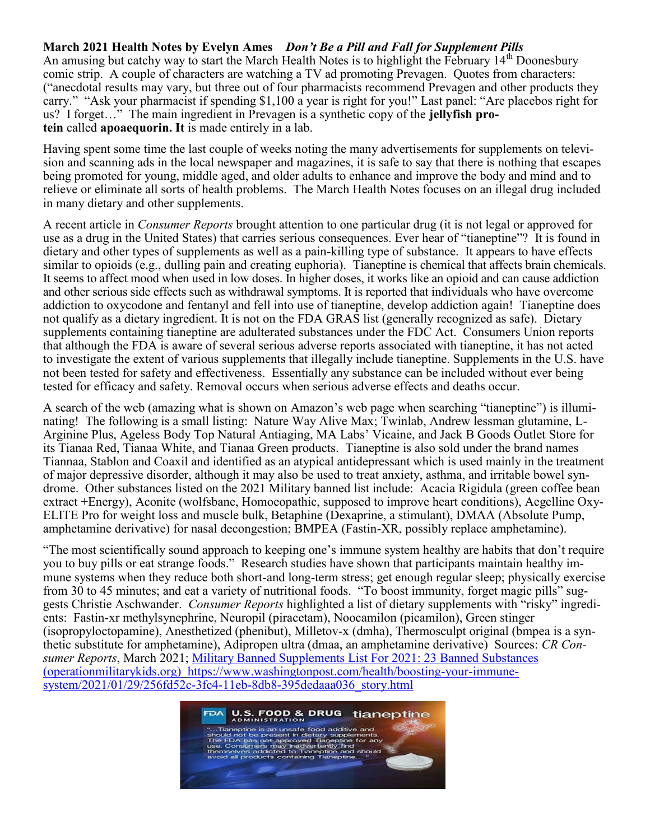#### **March 2021 Health Notes by Evelyn Ames** *Don't Be a Pill and Fall for Supplement Pills*

An amusing but catchy way to start the March Health Notes is to highlight the February  $14<sup>th</sup>$  Doonesbury comic strip. A couple of characters are watching a TV ad promoting Prevagen. Quotes from characters: ("anecdotal results may vary, but three out of four pharmacists recommend Prevagen and other products they carry." "Ask your pharmacist if spending \$1,100 a year is right for you!" Last panel: "Are placebos right for us? I forget…" The main ingredient in Prevagen is a synthetic copy of the **jellyfish protein** called **apoaequorin. It** is made entirely in a lab.

Having spent some time the last couple of weeks noting the many advertisements for supplements on television and scanning ads in the local newspaper and magazines, it is safe to say that there is nothing that escapes being promoted for young, middle aged, and older adults to enhance and improve the body and mind and to relieve or eliminate all sorts of health problems. The March Health Notes focuses on an illegal drug included in many dietary and other supplements.

A recent article in *Consumer Reports* brought attention to one particular drug (it is not legal or approved for use as a drug in the United States) that carries serious consequences. Ever hear of "tianeptine"? It is found in dietary and other types of supplements as well as a pain-killing type of substance. It appears to have effects similar to opioids (e.g., dulling pain and creating euphoria). Tianeptine is chemical that affects [brain](http://www.webmd.com/brain/picture-of-the-brain) chemicals. It seems to affect mood when used in low doses. In higher doses, it works like an [opioid](http://www.webmd.com/pain-management/guide/narcotic-pain-medications) and can cause addiction and other serious side effects such as withdrawal symptoms. It is reported that individuals who have overcome addiction to oxycodone and fentanyl and fell into use of tianeptine, develop addiction again! Tianeptine does not qualify as a dietary ingredient. It is not on the FDA GRAS list (generally recognized as safe). Dietary supplements containing tianeptine are adulterated substances under the FDC Act. Consumers Union reports that although the FDA is aware of several serious adverse reports associated with tianeptine, it has not acted to investigate the extent of various supplements that illegally include tianeptine. Supplements in the U.S. have not been tested for safety and effectiveness. Essentially any substance can be included without ever being tested for efficacy and safety. Removal occurs when serious adverse effects and deaths occur.

A search of the web (amazing what is shown on Amazon's web page when searching "tianeptine") is illuminating! The following is a small listing: Nature Way Alive Max; Twinlab, Andrew lessman glutamine, L-Arginine Plus, Ageless Body Top Natural Antiaging, MA Labs' Vicaine, and Jack B Goods Outlet Store for its Tianaa Red, Tianaa White, and Tianaa Green products. Tianeptine is also sold under the brand names Tiannaa, Stablon and Coaxil and identified as an atypical antidepressant which is used mainly in the treatment of major depressive disorder, although it may also be used to treat anxiety, asthma, and irritable bowel syndrome. Other substances listed on the 2021 Military banned list include: Acacia Rigidula (green coffee bean extract +Energy), Aconite (wolfsbane, Homoeopathic, supposed to improve heart conditions), Aegelline Oxy-ELITE Pro for weight loss and muscle bulk, Betaphine (Dexaprine, a stimulant), DMAA (Absolute Pump, amphetamine derivative) for nasal decongestion; BMPEA (Fastin-XR, possibly replace amphetamine).

"The most scientifically sound approach to keeping one's immune system healthy are habits that don't require you to buy pills or eat strange foods." Research studies have shown that participants maintain healthy immune systems when they reduce both short-and long-term stress; get enough regular sleep; physically exercise from 30 to 45 minutes; and eat a variety of nutritional foods. "To boost immunity, forget magic pills" suggests Christie Aschwander. *Consumer Reports* highlighted a list of dietary supplements with "risky" ingredients: Fastin-xr methylsynephrine, Neuropil (piracetam), Noocamilon (picamilon), Green stinger (isopropyloctopamine), Anesthetized (phenibut), Milletov-x (dmha), Thermosculpt original (bmpea is a synthetic substitute for amphetamine), Adipropen ultra (dmaa, an amphetamine derivative) Sources: *CR Consumer Reports*, March 2021; [Military Banned Supplements List For 2021: 23 Banned Substances](file:///C:/Users/Owner/Downloads/Military%20Banned%20Supplements%20List%20For%202021:%2023%20Banned%20Substances%20(operationmilitarykids.org))  [\(operationmilitarykids.org\)](file:///C:/Users/Owner/Downloads/Military%20Banned%20Supplements%20List%20For%202021:%2023%20Banned%20Substances%20(operationmilitarykids.org)) [https://www.washingtonpost.com/health/boosting](https://www.washingtonpost.com/health/boosting-your-immune-system/2021/01/29/256fd52c-3fc4-11eb-8db8-395dedaaa036_story.html)-your-immune[system/2021/01/29/256fd52c](https://www.washingtonpost.com/health/boosting-your-immune-system/2021/01/29/256fd52c-3fc4-11eb-8db8-395dedaaa036_story.html)-3fc4-11eb-8db8-395dedaaa036\_story.html

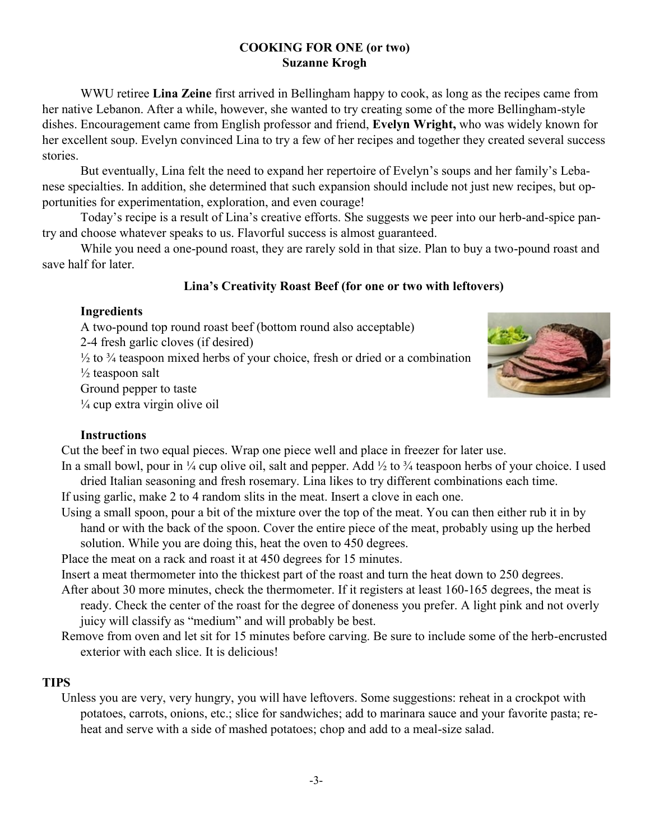#### **COOKING FOR ONE (or two) Suzanne Krogh**

WWU retiree **Lina Zeine** first arrived in Bellingham happy to cook, as long as the recipes came from her native Lebanon. After a while, however, she wanted to try creating some of the more Bellingham-style dishes. Encouragement came from English professor and friend, **Evelyn Wright,** who was widely known for her excellent soup. Evelyn convinced Lina to try a few of her recipes and together they created several success stories.

But eventually, Lina felt the need to expand her repertoire of Evelyn's soups and her family's Lebanese specialties. In addition, she determined that such expansion should include not just new recipes, but opportunities for experimentation, exploration, and even courage!

Today's recipe is a result of Lina's creative efforts. She suggests we peer into our herb-and-spice pantry and choose whatever speaks to us. Flavorful success is almost guaranteed.

While you need a one-pound roast, they are rarely sold in that size. Plan to buy a two-pound roast and save half for later.

## **Lina's Creativity Roast Beef (for one or two with leftovers)**

### **Ingredients**

A two-pound top round roast beef (bottom round also acceptable) 2-4 fresh garlic cloves (if desired)

 $\frac{1}{2}$  to  $\frac{3}{4}$  teaspoon mixed herbs of your choice, fresh or dried or a combination  $\frac{1}{2}$  teaspoon salt

Ground pepper to taste

 $\frac{1}{4}$  cup extra virgin olive oil



## **Instructions**

Cut the beef in two equal pieces. Wrap one piece well and place in freezer for later use.

In a small bowl, pour in  $\frac{1}{4}$  cup olive oil, salt and pepper. Add  $\frac{1}{2}$  to  $\frac{3}{4}$  teaspoon herbs of your choice. I used dried Italian seasoning and fresh rosemary. Lina likes to try different combinations each time.

If using garlic, make 2 to 4 random slits in the meat. Insert a clove in each one.

Using a small spoon, pour a bit of the mixture over the top of the meat. You can then either rub it in by hand or with the back of the spoon. Cover the entire piece of the meat, probably using up the herbed solution. While you are doing this, heat the oven to 450 degrees.

Place the meat on a rack and roast it at 450 degrees for 15 minutes.

Insert a meat thermometer into the thickest part of the roast and turn the heat down to 250 degrees.

- After about 30 more minutes, check the thermometer. If it registers at least 160-165 degrees, the meat is ready. Check the center of the roast for the degree of doneness you prefer. A light pink and not overly juicy will classify as "medium" and will probably be best.
- Remove from oven and let sit for 15 minutes before carving. Be sure to include some of the herb-encrusted exterior with each slice. It is delicious!

# **TIPS**

Unless you are very, very hungry, you will have leftovers. Some suggestions: reheat in a crockpot with potatoes, carrots, onions, etc.; slice for sandwiches; add to marinara sauce and your favorite pasta; reheat and serve with a side of mashed potatoes; chop and add to a meal-size salad.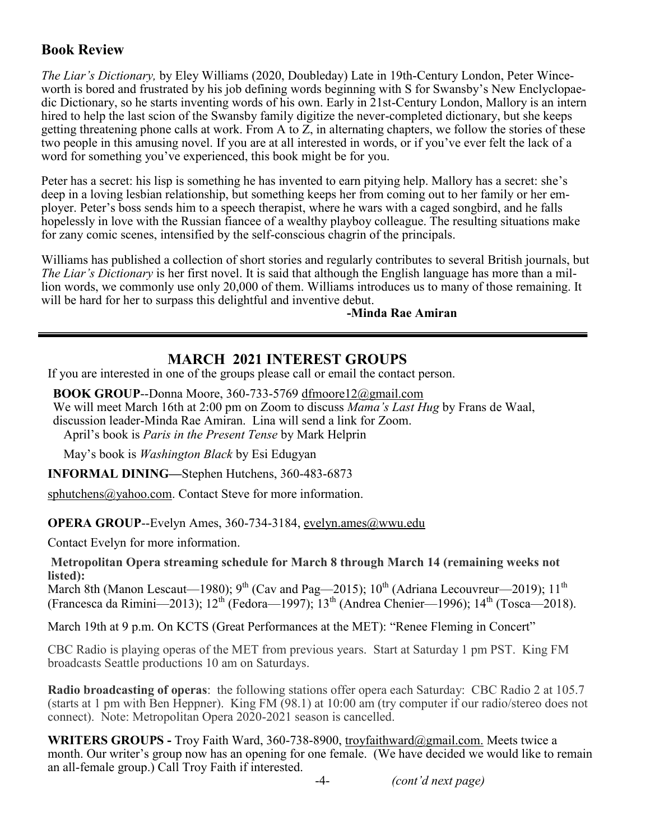# **Book Review**

*The Liar's Dictionary,* by Eley Williams (2020, Doubleday) Late in 19th-Century London, Peter Winceworth is bored and frustrated by his job defining words beginning with S for Swansby's New Enclyclopaedic Dictionary, so he starts inventing words of his own. Early in 21st-Century London, Mallory is an intern hired to help the last scion of the Swansby family digitize the never-completed dictionary, but she keeps getting threatening phone calls at work. From A to Z, in alternating chapters, we follow the stories of these two people in this amusing novel. If you are at all interested in words, or if you've ever felt the lack of a word for something you've experienced, this book might be for you.

Peter has a secret: his lisp is something he has invented to earn pitying help. Mallory has a secret: she's deep in a loving lesbian relationship, but something keeps her from coming out to her family or her employer. Peter's boss sends him to a speech therapist, where he wars with a caged songbird, and he falls hopelessly in love with the Russian fiancee of a wealthy playboy colleague. The resulting situations make for zany comic scenes, intensified by the self-conscious chagrin of the principals.

Williams has published a collection of short stories and regularly contributes to several British journals, but *The Liar's Dictionary* is her first novel. It is said that although the English language has more than a million words, we commonly use only 20,000 of them. Williams introduces us to many of those remaining. It will be hard for her to surpass this delightful and inventive debut.

#### **-Minda Rae Amiran**

## **MARCH 2021 INTEREST GROUPS**

If you are interested in one of the groups please call or email the contact person.

**BOOK GROUP**--Donna Moore, 360-733-5769 [dfmoore](mailto:dfmoore12@gmail.com)[12@gmail.com](mailto:e12@gmail.com) We will meet March 16th at 2:00 pm on Zoom to discuss *Mama's Last Hug* by Frans de Waal, discussion leader-Minda Rae Amiran. Lina will send a link for Zoom. April's book is *Paris in the Present Tense* by Mark Helprin

May's book is *Washington Black* by Esi Edugyan

**INFORMAL DINING—**Stephen Hutchens, 360-483-6873

[sphutchens@yahoo.com.](mailto:sphutchens@yahoo.com) Contact Steve for more information.

**OPERA GROUP**--Evelyn Ames, 360-734-3184, [evelyn.ames@wwu.edu](mailto:evelyn.ames@wwu.edu)

Contact Evelyn for more information.

**Metropolitan Opera streaming schedule for March 8 through March 14 (remaining weeks not listed):**

March 8th (Manon Lescaut—1980); 9<sup>th</sup> (Cav and Pag—2015); 10<sup>th</sup> (Adriana Lecouvreur—2019); 11<sup>th</sup> (Francesca da Rimini—2013);  $12^{th}$  (Fedora—1997);  $13^{th}$  (Andrea Chenier—1996);  $14^{th}$  (Tosca—2018).

March 19th at 9 p.m. On KCTS (Great Performances at the MET): "Renee Fleming in Concert"

CBC Radio is playing operas of the MET from previous years. Start at Saturday 1 pm PST. King FM broadcasts Seattle productions 10 am on Saturdays.

**Radio broadcasting of operas**: the following stations offer opera each Saturday: CBC Radio 2 at 105.7 (starts at 1 pm with Ben Heppner). King FM (98.1) at 10:00 am (try computer if our radio/stereo does not connect). Note: Metropolitan Opera 2020-2021 season is cancelled.

**WRITERS GROUPS -** Troy Faith Ward, 360-738-8900, [troyfaithward@gmail.com.](mailto:troyfaithward@gmail.com) Meets twice a month. Our writer's group now has an opening for one female. (We have decided we would like to remain an all-female group.) Call Troy Faith if interested.

-4- *(cont'd next page)*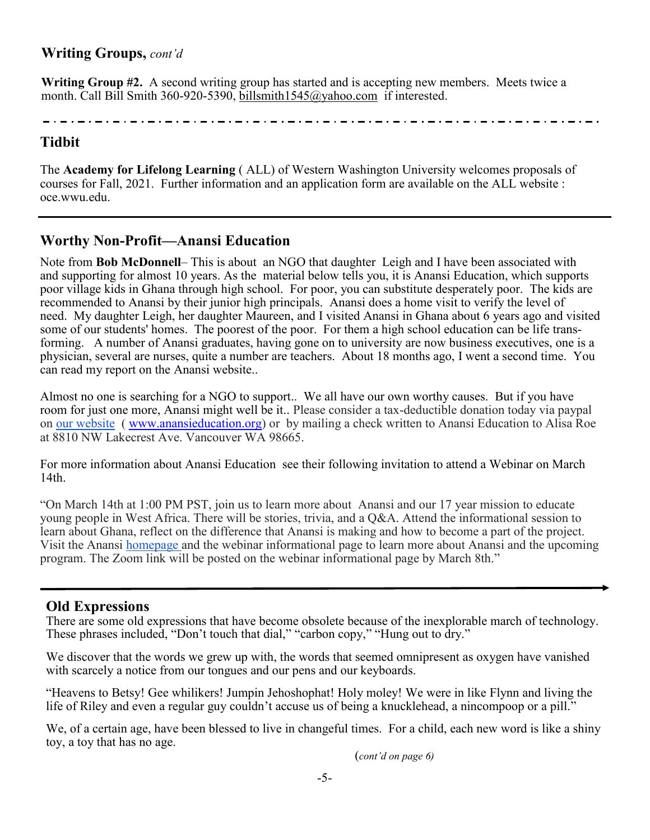# **Writing Groups,** *cont'd*

**Writing Group #2.** A second writing group has started and is accepting new members. Meets twice a month. Call Bill Smith 360-920-5390, [billsmith1545@yahoo.com](mailto:billsmith1545@yahoo.com) if interested.

# **Tidbit**

The **Academy for Lifelong Learning** ( ALL) of Western Washington University welcomes proposals of courses for Fall, 2021. Further information and an application form are available on the ALL website : oce.wwu.edu.

# **Worthy Non-Profit—Anansi Education**

Note from **Bob McDonnell**– This is about an NGO that daughter Leigh and I have been associated with and supporting for almost 10 years. As the material below tells you, it is Anansi Education, which supports poor village kids in Ghana through high school. For poor, you can substitute desperately poor. The kids are recommended to Anansi by their junior high principals. Anansi does a home visit to verify the level of need. My daughter Leigh, her daughter Maureen, and I visited Anansi in Ghana about 6 years ago and visited some of our students' homes. The poorest of the poor. For them a high school education can be life transforming. A number of Anansi graduates, having gone on to university are now business executives, one is a physician, several are nurses, quite a number are teachers. About 18 months ago, I went a second time. You can read my report on the Anansi website..

Almost no one is searching for a NGO to support.. We all have our own worthy causes. But if you have room for just one more, Anansi might well be it.. Please consider a tax-deductible donation today via paypal on [our website](http://anansieducation.org/?page_id=16) ( [www.anansieducation.org\)](http://www.anansieducation.org/) or by mailing a check written to Anansi Education to Alisa Roe at 8810 NW Lakecrest Ave. Vancouver WA 98665.

For more information about Anansi Education see their following invitation to attend a Webinar on March 14th.

"On March 14th at 1:00 PM PST, join us to learn more about Anansi and our 17 year mission to educate young people in West Africa. There will be stories, trivia, and a Q&A. Attend the informational session to learn about Ghana, reflect on the difference that Anansi is making and how to become a part of the project. Visit the Anansi [homepage](http://anansieducation.org/) and the webinar informational page to learn more about Anansi and the upcoming program. The Zoom link will be posted on the webinar informational page by March 8th."

# **Old Expressions**

There are some old expressions that have become obsolete because of the inexplorable march of technology. These phrases included, "Don't touch that dial," "carbon copy," "Hung out to dry."

We discover that the words we grew up with, the words that seemed omnipresent as oxygen have vanished with scarcely a notice from our tongues and our pens and our keyboards.

"Heavens to Betsy! Gee whilikers! Jumpin Jehoshophat! Holy moley! We were in like Flynn and living the life of Riley and even a regular guy couldn't accuse us of being a knucklehead, a nincompoop or a pill."

We, of a certain age, have been blessed to live in changeful times. For a child, each new word is like a shiny toy, a toy that has no age.

(*cont'd on page 6)*